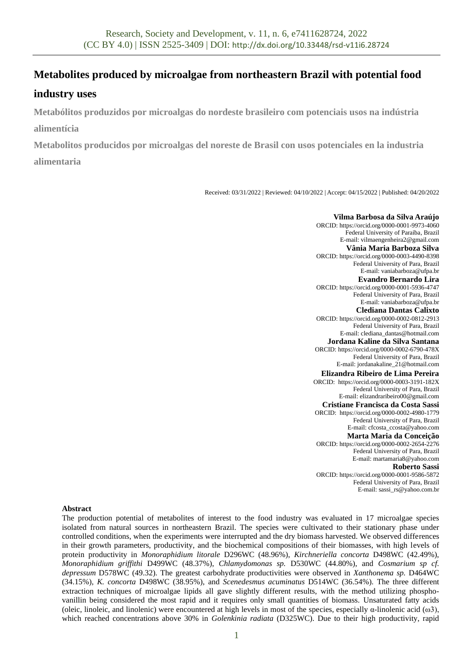# **Metabolites produced by microalgae from northeastern Brazil with potential food**

## **industry uses**

**Metabólitos produzidos por microalgas do nordeste brasileiro com potenciais usos na indústria alimentícia**

**Metabolitos producidos por microalgas del noreste de Brasil con usos potenciales en la industria alimentaria**

Received: 03/31/2022 | Reviewed: 04/10/2022 | Accept: 04/15/2022 | Published: 04/20/2022

**Vilma Barbosa da Silva Araújo** ORCID[: https://orcid.org/0000-0001-9973-4060](https://orcid.org/0000-0001-9973-4060) Federal University of Paraiba, Brazil E-mail: vilmaengenheira2@gmail.com **Vânia Maria Barboza Silva** ORCID[: https://orcid.org/0000-0003-4490-8398](https://orcid.org/0000-0003-4490-8398) Federal University of Para, Brazil E-mail: vaniabarboza@ufpa.br **Evandro Bernardo Lira** ORCID[: https://orcid.org/0000-0001-5936-4747](https://orcid.org/0000-0001-5936-4747) Federal University of Para, Brazil E-mail: vaniabarboza@ufpa.br **Clediana Dantas Calixto** ORCID[: https://orcid.org/0000-0002-0812-2913](https://orcid.org/0000-0002-0812-2913) Federal University of Para, Brazil E-mail: clediana\_dantas@hotmail.com **Jordana Kaline da Silva Santana** ORCID[: https://orcid.org/0000-0002-6790-478X](https://orcid.org/0000-0002-6790-478X) Federal University of Para, Brazil E-mail: jordanakaline\_21@hotmail.com **Elizandra Ribeiro de Lima Pereira** ORCID: <https://orcid.org/0000-0003-3191-182X> Federal University of Para, Brazil E-mail[: elizandraribeiro00@gmail.com](mailto:elizandraribeiro00@gmail.com) **Cristiane Francisca da Costa Sassi** ORCID: <https://orcid.org/0000-0002-4980-1779> Federal University of Para, Brazil E-mail: cfcosta\_ccosta@yahoo.com **Marta Maria da Conceição** ORCID: <https://orcid.org/0000-0002-2654-2276> Federal University of Para, Brazil E-mail: martamaria8@yahoo.com **Roberto Sassi** ORCID[: https://orcid.org/0000-0001-9586-5872](https://orcid.org/0000-0001-9586-5872) Federal University of Para, Brazil E-mail: sassi\_rs@yahoo.com.br

## **Abstract**

The production potential of metabolites of interest to the food industry was evaluated in 17 microalgae species isolated from natural sources in northeastern Brazil. The species were cultivated to their stationary phase under controlled conditions, when the experiments were interrupted and the dry biomass harvested. We observed differences in their growth parameters, productivity, and the biochemical compositions of their biomasses, with high levels of protein productivity in *Monoraphidium litorale* D296WC (48.96%), *Kirchneriella concorta* D498WC (42.49%), *Monoraphidium griffithi* D499WC (48.37%), *Chlamydomonas sp.* D530WC (44.80%), and *Cosmarium sp cf. depressum* D578WC (49.32). The greatest carbohydrate productivities were observed in *Xanthonema sp.* D464WC (34.15%)*, K. concorta* D498WC (38.95%), and *Scenedesmus acuminatus* D514WC (36.54%). The three different extraction techniques of microalgae lipids all gave slightly different results, with the method utilizing phosphovanillin being considered the most rapid and it requires only small quantities of biomass. Unsaturated fatty acids (oleic, linoleic, and linolenic) were encountered at high levels in most of the species, especially  $\alpha$ -linolenic acid ( $\omega$ 3), which reached concentrations above 30% in *Golenkinia radiata* (D325WC). Due to their high productivity, rapid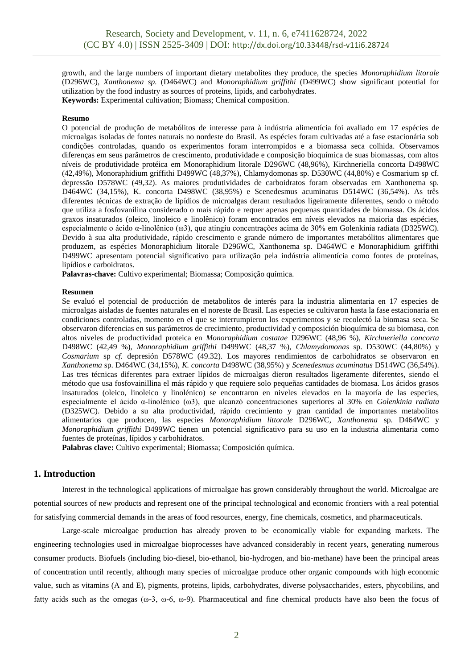growth, and the large numbers of important dietary metabolites they produce, the species *Monoraphidium litorale* (D296WC), *Xanthonema sp.* (D464WC) and *Monoraphidium griffithi* (D499WC) show significant potential for utilization by the food industry as sources of proteins, lipids, and carbohydrates. **Keywords:** Experimental cultivation; Biomass; Chemical composition.

#### **Resumo**

O potencial de produção de metabólitos de interesse para à indústria alimentícia foi avaliado em 17 espécies de microalgas isoladas de fontes naturais no nordeste do Brasil. As espécies foram cultivadas até a fase estacionária sob condições controladas, quando os experimentos foram interrompidos e a biomassa seca colhida. Observamos diferenças em seus parâmetros de crescimento, produtividade e composição bioquímica de suas biomassas, com altos níveis de produtividade protéica em Monoraphidium litorale D296WC (48,96%), Kirchneriella concorta D498WC (42,49%), Monoraphidium griffithi D499WC (48,37%), Chlamydomonas sp. D530WC (44,80%) e Cosmarium sp cf. depressão D578WC (49,32). As maiores produtividades de carboidratos foram observadas em Xanthonema sp. D464WC (34,15%), K. concorta D498WC (38,95%) e Scenedesmus acuminatus D514WC (36,54%). As três diferentes técnicas de extração de lipídios de microalgas deram resultados ligeiramente diferentes, sendo o método que utiliza a fosfovanilina considerado o mais rápido e requer apenas pequenas quantidades de biomassa. Os ácidos graxos insaturados (oleico, linoleico e linolênico) foram encontrados em níveis elevados na maioria das espécies, especialmente o ácido α-linolênico (ω3), que atingiu concentrações acima de 30% em Golenkinia radiata (D325WC). Devido à sua alta produtividade, rápido crescimento e grande número de importantes metabólitos alimentares que produzem, as espécies Monoraphidium litorale D296WC, Xanthonema sp. D464WC e Monoraphidium griffithi D499WC apresentam potencial significativo para utilização pela indústria alimentícia como fontes de proteínas, lipídios e carboidratos.

**Palavras-chave:** Cultivo experimental; Biomassa; Composição química.

### **Resumen**

Se evaluó el potencial de producción de metabolitos de interés para la industria alimentaria en 17 especies de microalgas aisladas de fuentes naturales en el noreste de Brasil. Las especies se cultivaron hasta la fase estacionaria en condiciones controladas, momento en el que se interrumpieron los experimentos y se recolectó la biomasa seca. Se observaron diferencias en sus parámetros de crecimiento, productividad y composición bioquímica de su biomasa, con altos niveles de productividad proteica en *Monoraphidium costatae* D296WC (48,96 %), *Kirchneriella concorta* D498WC (42,49 %), *Monoraphidium griffithi* D499WC (48,37 %), *Chlamydomonas* sp. D530WC (44,80%) y *Cosmarium* sp *cf.* depresión D578WC (49.32). Los mayores rendimientos de carbohidratos se observaron en *Xanthonema* sp. D464WC (34,15%), *K. concorta* D498WC (38,95%) y *Scenedesmus acuminatus* D514WC (36,54%). Las tres técnicas diferentes para extraer lípidos de microalgas dieron resultados ligeramente diferentes, siendo el método que usa fosfovainillina el más rápido y que requiere solo pequeñas cantidades de biomasa. Los ácidos grasos insaturados (oleico, linoleico y linolénico) se encontraron en niveles elevados en la mayoría de las especies, especialmente el ácido α-linolénico (ω3), que alcanzó concentraciones superiores al 30% en *Golenkinia radiata* (D325WC). Debido a su alta productividad, rápido crecimiento y gran cantidad de importantes metabolitos alimentarios que producen, las especies *Monoraphidium littorale* D296WC, *Xanthonema* sp. D464WC y *Monoraphidium griffithi* D499WC tienen un potencial significativo para su uso en la industria alimentaria como fuentes de proteínas, lípidos y carbohidratos.

**Palabras clave:** Cultivo experimental; Biomassa; Composición química.

## **1. Introduction**

Interest in the technological applications of microalgae has grown considerably throughout the world. Microalgae are potential sources of new products and represent one of the principal technological and economic frontiers with a real potential for satisfying commercial demands in the areas of food resources, energy, fine chemicals, cosmetics, and pharmaceuticals.

Large-scale microalgae production has already proven to be economically viable for expanding markets. The engineering technologies used in microalgae bioprocesses have advanced considerably in recent years, generating numerous consumer products. Biofuels (including bio-diesel, bio-ethanol, bio-hydrogen, and bio-methane) have been the principal areas of concentration until recently, although many species of microalgae produce other organic compounds with high economic value, such as vitamins (A and E), pigments, proteins, lipids, carbohydrates, diverse polysaccharides, esters, phycobilins, and fatty acids such as the omegas ( $\omega$ -3,  $\omega$ -6,  $\omega$ -9). Pharmaceutical and fine chemical products have also been the focus of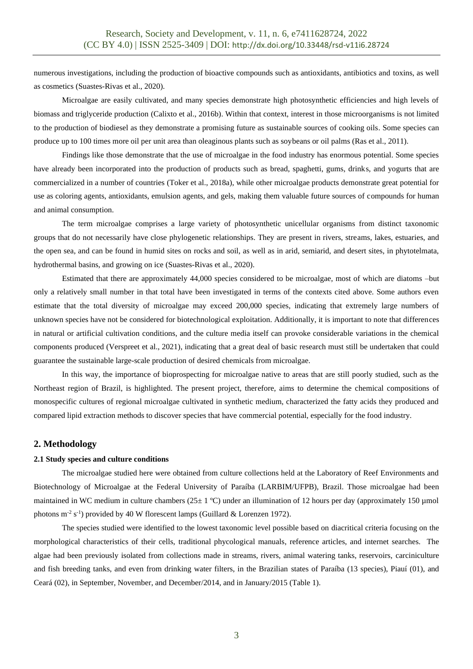numerous investigations, including the production of bioactive compounds such as antioxidants, antibiotics and toxins, as well as cosmetics (Suastes-Rivas et al., 2020).

Microalgae are easily cultivated, and many species demonstrate high photosynthetic efficiencies and high levels of biomass and triglyceride production (Calixto et al., 2016b). Within that context, interest in those microorganisms is not limited to the production of biodiesel as they demonstrate a promising future as sustainable sources of cooking oils. Some species can produce up to 100 times more oil per unit area than oleaginous plants such as soybeans or oil palms (Ras et al., 2011).

Findings like those demonstrate that the use of microalgae in the food industry has enormous potential. Some species have already been incorporated into the production of products such as bread, spaghetti, gums, drinks, and yogurts that are commercialized in a number of countries (Toker et al., 2018a), while other microalgae products demonstrate great potential for use as coloring agents, antioxidants, emulsion agents, and gels, making them valuable future sources of compounds for human and animal consumption.

The term microalgae comprises a large variety of photosynthetic unicellular organisms from distinct taxonomic groups that do not necessarily have close phylogenetic relationships. They are present in rivers, streams, lakes, estuaries, and the open sea, and can be found in humid sites on rocks and soil, as well as in arid, semiarid, and desert sites, in phytotelmata, hydrothermal basins, and growing on ice (Suastes-Rivas et al., 2020).

Estimated that there are approximately 44,000 species considered to be microalgae, most of which are diatoms –but only a relatively small number in that total have been investigated in terms of the contexts cited above. Some authors even estimate that the total diversity of microalgae may exceed 200,000 species, indicating that extremely large numbers of unknown species have not be considered for biotechnological exploitation. Additionally, it is important to note that differences in natural or artificial cultivation conditions, and the culture media itself can provoke considerable variations in the chemical components produced (Verspreet et al., 2021), indicating that a great deal of basic research must still be undertaken that could guarantee the sustainable large-scale production of desired chemicals from microalgae.

In this way, the importance of bioprospecting for microalgae native to areas that are still poorly studied, such as the Northeast region of Brazil, is highlighted. The present project, therefore, aims to determine the chemical compositions of monospecific cultures of regional microalgae cultivated in synthetic medium, characterized the fatty acids they produced and compared lipid extraction methods to discover species that have commercial potential, especially for the food industry.

## **2. Methodology**

#### **2.1 Study species and culture conditions**

The microalgae studied here were obtained from culture collections held at the Laboratory of Reef Environments and Biotechnology of Microalgae at the Federal University of Paraíba (LARBIM/UFPB), Brazil. Those microalgae had been maintained in WC medium in culture chambers ( $25 \pm 1$  °C) under an illumination of 12 hours per day (approximately 150 µmol photons  $m^2$  s<sup>-1</sup>) provided by 40 W florescent lamps (Guillard & Lorenzen 1972).

The species studied were identified to the lowest taxonomic level possible based on diacritical criteria focusing on the morphological characteristics of their cells, traditional phycological manuals, reference articles, and internet searches. The algae had been previously isolated from collections made in streams, rivers, animal watering tanks, reservoirs, carciniculture and fish breeding tanks, and even from drinking water filters, in the Brazilian states of Paraíba (13 species), Piauí (01), and Ceará (02), in September, November, and December/2014, and in January/2015 (Table 1).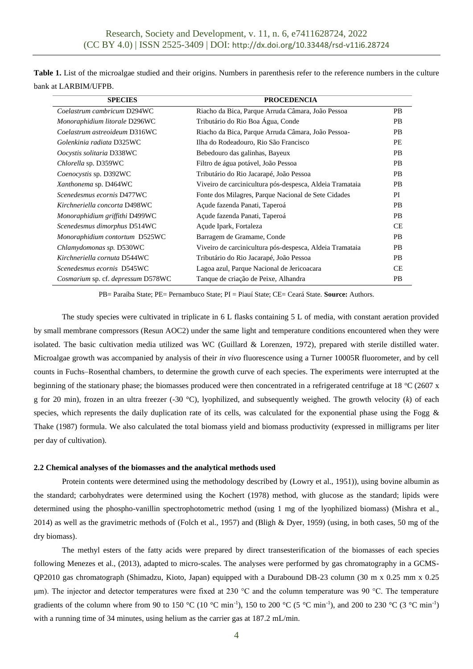|                      | Table 1. List of the microalgae studied and their origins. Numbers in parenthesis refer to the reference numbers in the culture |  |  |  |  |
|----------------------|---------------------------------------------------------------------------------------------------------------------------------|--|--|--|--|
| bank at LARBIM/UFPB. |                                                                                                                                 |  |  |  |  |

| <b>SPECIES</b>                     | <b>PROCEDENCIA</b>                                       |           |
|------------------------------------|----------------------------------------------------------|-----------|
| Coelastrum cambricum D294WC        | Riacho da Bica, Parque Arruda Câmara, João Pessoa        | <b>PB</b> |
| Monoraphidium litorale D296WC      | Tributário do Rio Boa Água, Conde                        | <b>PB</b> |
| Coelastrum astreoideum D316WC      | Riacho da Bica, Parque Arruda Câmara, João Pessoa-       | <b>PB</b> |
| Golenkinia radiata D325WC          | Ilha do Rodeadouro, Rio São Francisco                    | PE        |
| Oocystis solitaria D338WC          | Bebedouro das galinhas, Bayeux                           | <b>PB</b> |
| Chlorella sp. D359WC               | Filtro de água potável, João Pessoa                      | <b>PB</b> |
| Coenocystis sp. D392WC             | Tributário do Rio Jacarapé, João Pessoa                  | <b>PB</b> |
| Xanthonema sp. D464WC              | Viveiro de carcinicultura pós-despesca, Aldeia Tramataia | <b>PB</b> |
| Scenedesmus ecornis D477WC         | Fonte dos Milagres, Parque Nacional de Sete Cidades      | PI        |
| Kirchneriella concorta D498WC      | Açude fazenda Panati, Taperoá                            | <b>PB</b> |
| Monoraphidium griffithi D499WC     | Açude fazenda Panati, Taperoá                            | <b>PB</b> |
| Scenedesmus dimorphus D514WC       | Açude Ipark, Fortaleza                                   | <b>CE</b> |
| Monoraphidium contortum D525WC     | Barragem de Gramame, Conde                               | <b>PB</b> |
| Chlamydomonas sp. D530WC           | Viveiro de carcinicultura pós-despesca, Aldeia Tramataia | <b>PB</b> |
| Kirchneriella cornuta D544WC       | Tributário do Rio Jacarapé, João Pessoa                  | <b>PB</b> |
| Scenedesmus ecornis D545WC         | Lagoa azul, Parque Nacional de Jericoacara               | <b>CE</b> |
| Cosmarium sp. cf. depressum D578WC | Tanque de criação de Peixe, Alhandra                     | <b>PB</b> |

PB= Paraíba State; PE= Pernambuco State; PI = Piauí State; CE= Ceará State. **Source:** Authors.

The study species were cultivated in triplicate in 6 L flasks containing 5 L of media, with constant aeration provided by small membrane compressors (Resun AOC2) under the same light and temperature conditions encountered when they were isolated. The basic cultivation media utilized was WC (Guillard & Lorenzen, 1972), prepared with sterile distilled water. Microalgae growth was accompanied by analysis of their *in vivo* fluorescence using a Turner 10005R fluorometer, and by cell counts in Fuchs–Rosenthal chambers, to determine the growth curve of each species. The experiments were interrupted at the beginning of the stationary phase; the biomasses produced were then concentrated in a refrigerated centrifuge at 18  $\degree$ C (2607 x g for 20 min), frozen in an ultra freezer (-30 °C), lyophilized, and subsequently weighed. The growth velocity (*k*) of each species, which represents the daily duplication rate of its cells, was calculated for the exponential phase using the Fogg  $\&$ Thake (1987) formula. We also calculated the total biomass yield and biomass productivity (expressed in milligrams per liter per day of cultivation).

#### **2.2 Chemical analyses of the biomasses and the analytical methods used**

Protein contents were determined using the methodology described by (Lowry et al., 1951)), using bovine albumin as the standard; carbohydrates were determined using the Kochert (1978) method, with glucose as the standard; lipids were determined using the phospho-vanillin spectrophotometric method (using 1 mg of the lyophilized biomass) (Mishra et al., 2014) as well as the gravimetric methods of (Folch et al., 1957) and (Bligh & Dyer, 1959) (using, in both cases, 50 mg of the dry biomass).

The methyl esters of the fatty acids were prepared by direct transesterification of the biomasses of each species following Menezes et al., (2013), adapted to micro-scales. The analyses were performed by gas chromatography in a GCMS-QP2010 gas chromatograph (Shimadzu, Kioto, Japan) equipped with a Durabound DB-23 column (30 m x 0.25 mm x 0.25 μm). The injector and detector temperatures were fixed at 230 °C and the column temperature was 90 °C. The temperature gradients of the column where from 90 to 150 °C (10 °C min<sup>-1</sup>), 150 to 200 °C (5 °C min<sup>-1</sup>), and 200 to 230 °C (3 °C min<sup>-1</sup>) with a running time of 34 minutes, using helium as the carrier gas at 187.2 mL/min.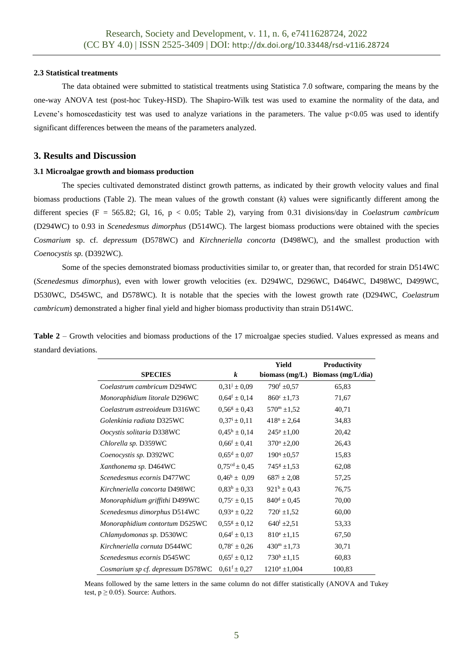## **2.3 Statistical treatments**

The data obtained were submitted to statistical treatments using Statistica 7.0 software, comparing the means by the one-way ANOVA test (post-hoc Tukey-HSD). The Shapiro-Wilk test was used to examine the normality of the data, and Levene's homoscedasticity test was used to analyze variations in the parameters. The value  $p<0.05$  was used to identify significant differences between the means of the parameters analyzed.

## **3. Results and Discussion**

## **3.1 Microalgae growth and biomass production**

The species cultivated demonstrated distinct growth patterns, as indicated by their growth velocity values and final biomass productions (Table 2). The mean values of the growth constant (*k*) values were significantly different among the different species (F = 565.82; Gl, 16, p < 0.05; Table 2), varying from 0.31 divisions/day in *Coelastrum cambricum*  (D294WC) to 0.93 in *Scenedesmus dimorphus* (D514WC). The largest biomass productions were obtained with the species *Cosmarium* sp. cf*. depressum* (D578WC) and *Kirchneriella concorta* (D498WC), and the smallest production with *Coenocystis sp.* (D392WC).

Some of the species demonstrated biomass productivities similar to, or greater than, that recorded for strain D514WC (*Scenedesmus dimorphus*), even with lower growth velocities (ex. D294WC, D296WC, D464WC, D498WC, D499WC, D530WC, D545WC, and D578WC). It is notable that the species with the lowest growth rate (D294WC, *Coelastrum cambricum*) demonstrated a higher final yield and higher biomass productivity than strain D514WC.

|                      |  |  |  | Table 2 – Growth velocities and biomass productions of the 17 microalgae species studied. Values expressed as means and |  |
|----------------------|--|--|--|-------------------------------------------------------------------------------------------------------------------------|--|
| standard deviations. |  |  |  |                                                                                                                         |  |

|                                   |                                | <b>Yield</b>           | Productivity       |
|-----------------------------------|--------------------------------|------------------------|--------------------|
| <b>SPECIES</b>                    | k                              | biomass (mg/L)         | Biomass (mg/L/dia) |
| Coelastrum cambricum D294WC       | $0.31^{j} \pm 0.09$            | $790^{\rm f}$ ±0,57    | 65,83              |
| Monoraphidium litorale D296WC     | $0.64$ <sup>f</sup> $\pm 0.14$ | $860^{\circ}$ ±1,73    | 71,67              |
| Coelastrum astreoideum D316WC     | $0.56^{\rm g} \pm 0.43$        | $570^{\rm m}$ ±1,52    | 40,71              |
| Golenkinia radiata D325WC         | $0,37^i \pm 0,11$              | $418^n \pm 2,64$       | 34,83              |
| Oocystis solitaria D338WC         | $0.45^{\rm h} \pm 0.14$        | $245^{\rm p}$ ±1,00    | 20,42              |
| Chlorella sp. D359WC              | $0.66^f \pm 0.41$              | $370^{\circ}$ ±2,00    | 26,43              |
| Coenocystis sp. D392WC            | $0.65^d \pm 0.07$              | $190^q \pm 0.57$       | 15,83              |
| Xanthonema sp. D464WC             | $0,75^{\text{cd}} \pm 0,45$    | $745^{\circ}$ ±1,53    | 62,08              |
| Scenedesmus ecornis D477WC        | $0.46^{\rm h} \pm 0.09$        | $687^{\rm j} \pm 2,08$ | 57,25              |
| Kirchneriella concorta D498WC     | $0.83^b \pm 0.33$              | $921^b \pm 0.43$       | 76,75              |
| Monoraphidium griffithi D499WC    | $0.75^{\circ} \pm 0.15$        | $840^d \pm 0.45$       | 70,00              |
| Scenedesmus dimorphus D514WC      | $0.93^a \pm 0.22$              | $720^{\rm i}$ ±1,52    | 60,00              |
| Monoraphidium contortum D525WC    | $0,55^g \pm 0,12$              | $640^{\rm l}$ ±2,51    | 53,33              |
| Chlamydomonas sp. D530WC          | $0.64^f \pm 0.13$              | $810^e \pm 1,15$       | 67,50              |
| Kirchneriella cornuta D544WC      | $0.78^{\circ} \pm 0.26$        | $430^{\rm m}$ ±1,73    | 30,71              |
| Scenedesmus ecornis D545WC        | $0.65^{\rm f} \pm 0.12$        | $730^{\rm h}$ ±1,15    | 60,83              |
| Cosmarium sp cf. depressum D578WC | $0.61^{\rm f} \pm 0.27$        | $1210^a \pm 1,004$     | 100,83             |

Means followed by the same letters in the same column do not differ statistically (ANOVA and Tukey test,  $p \ge 0.05$ ). Source: Authors.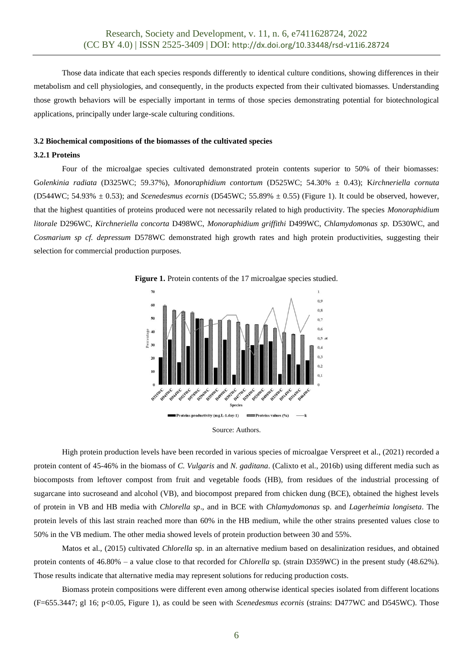Those data indicate that each species responds differently to identical culture conditions, showing differences in their metabolism and cell physiologies, and consequently, in the products expected from their cultivated biomasses. Understanding those growth behaviors will be especially important in terms of those species demonstrating potential for biotechnological applications, principally under large-scale culturing conditions.

#### **3.2 Biochemical compositions of the biomasses of the cultivated species**

#### **3.2.1 Proteins**

Four of the microalgae species cultivated demonstrated protein contents superior to 50% of their biomasses: G*olenkinia radiata* (D325WC; 59.37%), *Monoraphidium contortum* (D525WC; 54.30% ± 0.43); K*irchneriella cornuta* (D544WC; 54.93%  $\pm$  0.53); and *Scenedesmus ecornis* (D545WC; 55.89%  $\pm$  0.55) (Figure 1). It could be observed, however, that the highest quantities of proteins produced were not necessarily related to high productivity. The species *Monoraphidium litorale* D296WC, *Kirchneriella concorta* D498WC, *Monoraphidium griffithi* D499WC, *Chlamydomonas sp.* D530WC, and *Cosmarium sp cf. depressum* D578WC demonstrated high growth rates and high protein productivities, suggesting their selection for commercial production purposes.







High protein production levels have been recorded in various species of microalgae Verspreet et al., (2021) recorded a protein content of 45-46% in the biomass of *C. Vulgaris* and *N. gaditana*. (Calixto et al., 2016b) using different media such as biocomposts from leftover compost from fruit and vegetable foods (HB), from residues of the industrial processing of sugarcane into sucroseand and alcohol (VB), and biocompost prepared from chicken dung (BCE), obtained the highest levels of protein in VB and HB media with *Chlorella sp*., and in BCE with *Chlamydomonas* sp. and *Lagerheimia longiseta*. The protein levels of this last strain reached more than 60% in the HB medium, while the other strains presented values close to 50% in the VB medium. The other media showed levels of protein production between 30 and 55%.

Matos et al., (2015) cultivated *Chlorella* sp. in an alternative medium based on desalinization residues, and obtained protein contents of 46.80% – a value close to that recorded for *Chlorella* sp*.* (strain D359WC) in the present study (48.62%). Those results indicate that alternative media may represent solutions for reducing production costs.

Biomass protein compositions were different even among otherwise identical species isolated from different locations (F=655.3447; gl 16; p<0.05, Figure 1), as could be seen with *Scenedesmus ecornis* (strains: D477WC and D545WC). Those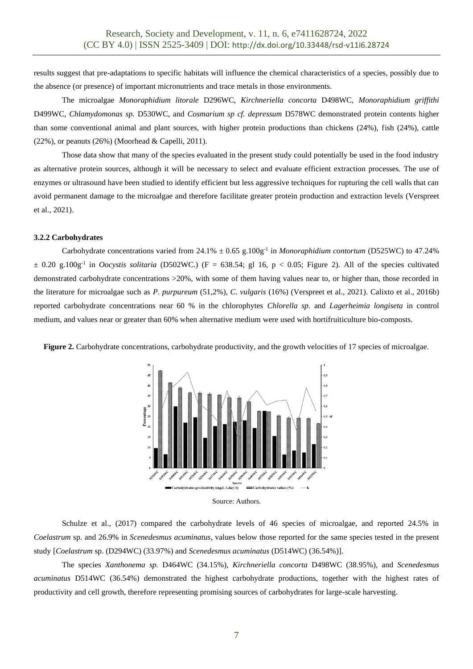results suggest that pre-adaptations to specific habitats will influence the chemical characteristics of a species, possibly due to the absence (or presence) of important micronutrients and trace metals in those environments.

The microalgae *Monoraphidium litorale* D296WC, *Kirchneriella concorta* D498WC, *Monoraphidium griffithi* D499WC, *Chlamydomonas sp.* D530WC, and *Cosmarium sp cf. depressum* D578WC demonstrated protein contents higher than some conventional animal and plant sources, with higher protein productions than chickens (24%), fish (24%), cattle (22%), or peanuts (26%) (Moorhead & Capelli, 2011).

Those data show that many of the species evaluated in the present study could potentially be used in the food industry as alternative protein sources, although it will be necessary to select and evaluate efficient extraction processes. The use of enzymes or ultrasound have been studied to identify efficient but less aggressive techniques for rupturing the cell walls that can avoid permanent damage to the microalgae and therefore facilitate greater protein production and extraction levels (Verspreet et al., 2021).

#### **3.2.2 Carbohydrates**

Carbohydrate concentrations varied from  $24.1\% \pm 0.65$  g.100g<sup>-1</sup> in *Monoraphidium contortum* (D525WC) to 47.24%  $\pm$  0.20 g.100g<sup>-1</sup> in *Oocystis solitaria* (D502WC.) (F = 638.54; gl 16, p < 0.05; Figure 2). All of the species cultivated demonstrated carbohydrate concentrations >20%, with some of them having values near to, or higher than, those recorded in the literature for microalgae such as *P. purpureum* (51,2%), *C. vulgaris* (16%) (Verspreet et al., 2021). Calixto et al., 2016b) reported carbohydrate concentrations near 60 % in the chlorophytes *Chlorella sp.* and *Lagerheimia longiseta* in control medium, and values near or greater than 60% when alternative medium were used with hortifruiticulture bio-composts.

**Figure 2.** Carbohydrate concentrations, carbohydrate productivity, and the growth velocities of 17 species of microalgae.



Source: Authors.

Schulze et al., (2017) compared the carbohydrate levels of 46 species of microalgae, and reported 24.5% in *Coelastrum* sp. and 26.9% in *Scenedesmus acuminatus*, values below those reported for the same species tested in the present study [*Coelastrum* sp. (D294WC) (33.97%) and *Scenedesmus acuminatus* (D514WC) (36.54%)].

The species *Xanthonema sp.* D464WC (34.15%), *Kirchneriella concorta* D498WC (38.95%), and *Scenedesmus acuminatus* D514WC (36.54%) demonstrated the highest carbohydrate productions, together with the highest rates of productivity and cell growth, therefore representing promising sources of carbohydrates for large-scale harvesting.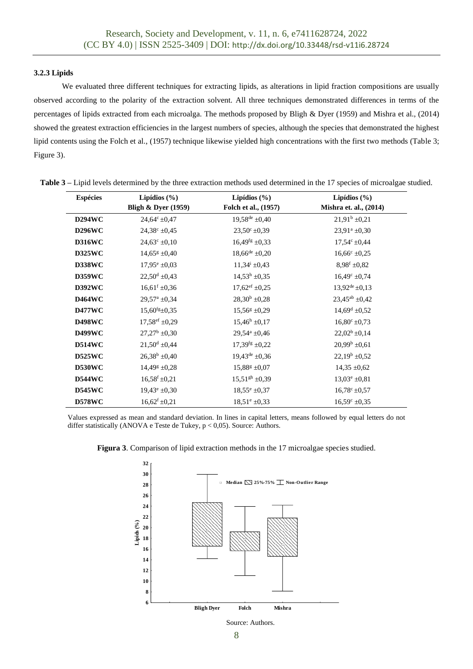## **3.2.3 Lipids**

We evaluated three different techniques for extracting lipids, as alterations in lipid fraction compositions are usually observed according to the polarity of the extraction solvent. All three techniques demonstrated differences in terms of the percentages of lipids extracted from each microalga. The methods proposed by Bligh & Dyer (1959) and Mishra et al., (2014) showed the greatest extraction efficiencies in the largest numbers of species, although the species that demonstrated the highest lipid contents using the Folch et al., (1957) technique likewise yielded high concentrations with the first two methods (Table 3; Figure 3).

| <b>Espécies</b> | Lipídios $(\% )$                 | Lipídios $(\% )$                 | Lipídios $(\% )$         |
|-----------------|----------------------------------|----------------------------------|--------------------------|
|                 | <b>Bligh &amp; Dyer (1959)</b>   | Folch et al., (1957)             | Mishra et. al., (2014)   |
| <b>D294WC</b>   | $24,64^{\circ} \pm 0,47$         | $19,58^{\text{de}} \pm 0,40$     | $21.91^b \pm 0.21$       |
| <b>D296WC</b>   | $24,38^{\circ} \pm 0,45$         | $23,50^{\circ} \pm 0,39$         | $23,91^a \pm 0,30$       |
| <b>D316WC</b>   | $24,63^{\circ} \pm 0,10$         | $16,49$ <sup>fg</sup> $\pm$ 0.33 | $17.54^{\circ}$ ±0.44    |
| <b>D325WC</b>   | $14,65^{\rm g}$ ±0,40            | $18,66^{\text{de}} \pm 0.20$     | $16,66^{\circ} \pm 0.25$ |
| <b>D338WC</b>   | $17.95^{\circ} \pm 0.03$         | $11.34^{i} \pm 0.43$             | $8.98^{\rm f}$ ±0.82     |
| <b>D359WC</b>   | $22.50^d \pm 0.43$               | $14,53^{\rm h}$ ±0,35            | $16,49^{\circ}$ ±0,74    |
| <b>D392WC</b>   | $16,61^f \pm 0,36$               | $17,62^{\text{ef}}$ ±0,25        | $13,92^{de} \pm 0,13$    |
| <b>D464WC</b>   | $29,57^{\rm a}$ ±0,34            | $28,30^b \pm 0,28$               | $23,45^{ab} \pm 0,42$    |
| <b>D477WC</b>   | $15,60$ <sup>fg</sup> $\pm$ 0.35 | $15,56^{\rm g}$ ±0,29            | $14,69^d \pm 0,52$       |
| <b>D498WC</b>   | $17,58^{\text{ef}}$ ±0,29        | $15,46^{\rm h}$ ±0,17            | $16,80^{\circ}$ ±0,73    |
| <b>D499WC</b>   | $27.27^b \pm 0.30$               | $29.54^a \pm 0.46$               | $22,02^b \pm 0,14$       |
| <b>D514WC</b>   | $21,50^d \pm 0,44$               | $17,39$ <sup>fg</sup> $\pm$ 0,22 | $20,99^b \pm 0,61$       |
| <b>D525WC</b>   | $26,38^b \pm 0,40$               | $19,43^{\text{de}} \pm 0.36$     | $22.19^b \pm 0.52$       |
| <b>D530WC</b>   | $14,49^{\circ}$ ±0.28            | $15,88^g \pm 0.07$               | $14,35 \pm 0,62$         |
| <b>D544WC</b>   | $16,58^{\rm f}$ ±0,21            | $15.51gh \pm 0.39$               | $13.03^e \pm 0.81$       |
| <b>D545WC</b>   | $19,43^e \pm 0,30$               | $18,55^e \pm 0.37$               | $16,78^{\circ} \pm 0.57$ |
| <b>D578WC</b>   | $16,62$ <sup>f</sup> $\pm$ 0,21  | $18,51^e \pm 0,33$               | $16,59^{\circ} \pm 0.35$ |

Values expressed as mean and standard deviation. In lines in capital letters, means followed by equal letters do not differ statistically (ANOVA e Teste de Tukey,  $p < 0.05$ ). Source: Authors.





Source: Authors.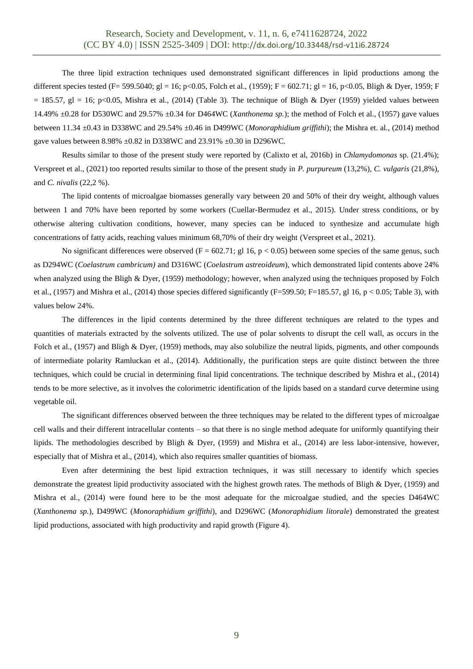The three lipid extraction techniques used demonstrated significant differences in lipid productions among the different species tested (F= 599.5040; gl = 16; p<0.05, Folch et al., (1959); F = 602.71; gl = 16, p<0.05, Bligh & Dyer, 1959; F  $= 185.57$ , gl = 16; p<0.05, Mishra et al., (2014) (Table 3). The technique of Bligh & Dyer (1959) yielded values between 14.49% ±0.28 for D530WC and 29.57% ±0.34 for D464WC (*Xanthonema sp.*); the method of Folch et al., (1957) gave values between 11.34 ±0.43 in D338WC and 29.54% ±0.46 in D499WC (*Monoraphidium griffithi*); the Mishra et. al*.*, (2014) method gave values between 8.98% ±0.82 in D338WC and 23.91% ±0.30 in D296WC.

Results similar to those of the present study were reported by (Calixto et al, 2016b) in *Chlamydomonas* sp. (21.4%); Verspreet et al., (2021) too reported results similar to those of the present study in *P. purpureum* (13,2%), *C. vulgaris* (21,8%), and *C. nivalis* (22,2 %).

The lipid contents of microalgae biomasses generally vary between 20 and 50% of their dry weight, although values between 1 and 70% have been reported by some workers (Cuellar-Bermudez et al., 2015). Under stress conditions, or by otherwise altering cultivation conditions, however, many species can be induced to synthesize and accumulate high concentrations of fatty acids, reaching values minimum 68,70% of their dry weight (Verspreet et al., 2021).

No significant differences were observed (F = 602.71; gl 16,  $p < 0.05$ ) between some species of the same genus, such as D294WC (*Coelastrum cambricum)* and D316WC (*Coelastrum astreoideum*), which demonstrated lipid contents above 24% when analyzed using the Bligh & Dyer, (1959) methodology; however, when analyzed using the techniques proposed by Folch et al., (1957) and Mishra et al., (2014) those species differed significantly (F=599.50; F=185.57, gl 16, p < 0.05; Table 3), with values below 24%.

The differences in the lipid contents determined by the three different techniques are related to the types and quantities of materials extracted by the solvents utilized. The use of polar solvents to disrupt the cell wall, as occurs in the Folch et al., (1957) and Bligh & Dyer, (1959) methods, may also solubilize the neutral lipids, pigments, and other compounds of intermediate polarity Ramluckan et al., (2014). Additionally, the purification steps are quite distinct between the three techniques, which could be crucial in determining final lipid concentrations. The technique described by Mishra et al., (2014) tends to be more selective, as it involves the colorimetric identification of the lipids based on a standard curve determine using vegetable oil.

The significant differences observed between the three techniques may be related to the different types of microalgae cell walls and their different intracellular contents – so that there is no single method adequate for uniformly quantifying their lipids. The methodologies described by Bligh & Dyer, (1959) and Mishra et al., (2014) are less labor-intensive, however, especially that of Mishra et al., (2014), which also requires smaller quantities of biomass.

Even after determining the best lipid extraction techniques, it was still necessary to identify which species demonstrate the greatest lipid productivity associated with the highest growth rates. The methods of Bligh & Dyer, (1959) and Mishra et al., (2014) were found here to be the most adequate for the microalgae studied, and the species D464WC (*Xanthonema sp.*), D499WC (*Monoraphidium griffithi*), and D296WC (*Monoraphidium litorale*) demonstrated the greatest lipid productions, associated with high productivity and rapid growth (Figure 4).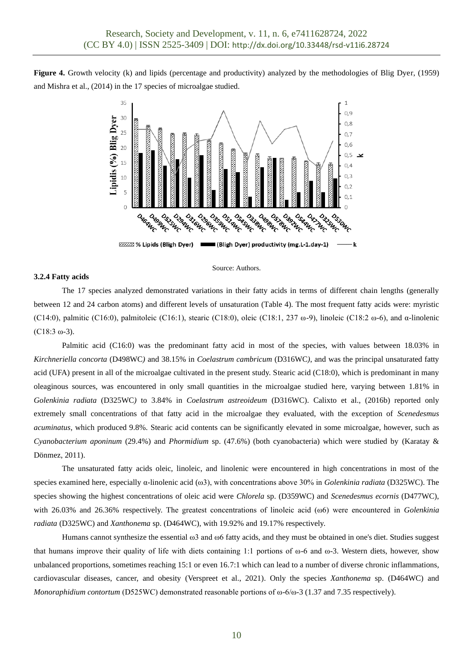**Figure 4.** Growth velocity (k) and lipids (percentage and productivity) analyzed by the methodologies of Blig Dyer, (1959) and Mishra et al., (2014) in the 17 species of microalgae studied.



#### **3.2.4 Fatty acids**

#### Source: Authors.

The 17 species analyzed demonstrated variations in their fatty acids in terms of different chain lengths (generally between 12 and 24 carbon atoms) and different levels of unsaturation (Table 4). The most frequent fatty acids were: myristic (C14:0), palmitic (C16:0), palmitoleic (C16:1), stearic (C18:0), oleic (C18:1, 237 ω-9), linoleic (C18:2 ω-6), and α-linolenic (C18:3 ω-3).

Palmitic acid (C16:0) was the predominant fatty acid in most of the species, with values between 18.03% in *Kirchneriella concorta* (D498WC*)* and 38.15% in *Coelastrum cambricum* (D316WC*)*, and was the principal unsaturated fatty acid (UFA) present in all of the microalgae cultivated in the present study. Stearic acid (C18:0), which is predominant in many oleaginous sources, was encountered in only small quantities in the microalgae studied here, varying between 1.81% in *Golenkinia radiata* (D325WC*)* to 3.84% in *Coelastrum astreoideum* (D316WC). Calixto et al., (2016b) reported only extremely small concentrations of that fatty acid in the microalgae they evaluated, with the exception of *Scenedesmus acuminatus*, which produced 9.8%. Stearic acid contents can be significantly elevated in some microalgae, however, such as *Cyanobacterium aponinum* (29.4%) and *Phormidium* sp. (47.6%) (both cyanobacteria) which were studied by (Karatay & Dönmez, 2011).

The unsaturated fatty acids oleic, linoleic, and linolenic were encountered in high concentrations in most of the species examined here, especially α-linolenic acid (ω3), with concentrations above 30% in *Golenkinia radiata* (D325WC). The species showing the highest concentrations of oleic acid were *Chlorela* sp. (D359WC) and *Scenedesmus ecornis* (D477WC), with 26.03% and 26.36% respectively. The greatest concentrations of linoleic acid (ω6) were encountered in *Golenkinia radiata* (D325WC) and *Xanthonema* sp. (D464WC)*,* with 19.92% and 19.17% respectively.

Humans cannot synthesize the essential ω3 and ω6 fatty acids, and they must be obtained in one's diet. Studies suggest that humans improve their quality of life with diets containing 1:1 portions of  $\omega$ -6 and  $\omega$ -3. Western diets, however, show unbalanced proportions, sometimes reaching 15:1 or even 16.7:1 which can lead to a number of diverse chronic inflammations, cardiovascular diseases, cancer, and obesity (Verspreet et al., 2021). Only the species *Xanthonema* sp. (D464WC) and *Monoraphidium contortum* (D525WC) demonstrated reasonable portions of ω-6/ω-3 (1.37 and 7.35 respectively).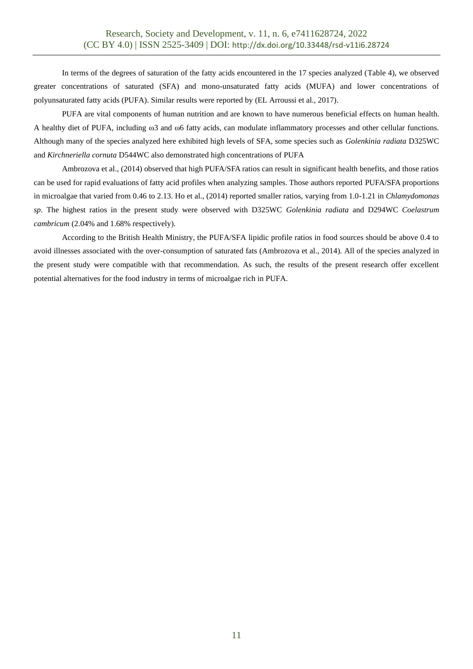In terms of the degrees of saturation of the fatty acids encountered in the 17 species analyzed (Table 4), we observed greater concentrations of saturated (SFA) and mono-unsaturated fatty acids (MUFA) and lower concentrations of polyunsaturated fatty acids (PUFA). Similar results were reported by (EL Arroussi et al., 2017).

PUFA are vital components of human nutrition and are known to have numerous beneficial effects on human health. A healthy diet of PUFA, including ω3 and ω6 fatty acids, can modulate inflammatory processes and other cellular functions. Although many of the species analyzed here exhibited high levels of SFA, some species such as *Golenkinia radiata* D325WC and *Kirchneriella cornuta* D544WC also demonstrated high concentrations of PUFA

Ambrozova et al., (2014) observed that high PUFA/SFA ratios can result in significant health benefits, and those ratios can be used for rapid evaluations of fatty acid profiles when analyzing samples. Those authors reported PUFA/SFA proportions in microalgae that varied from 0.46 to 2.13. Ho et al., (2014) reported smaller ratios, varying from 1.0-1.21 in *Chlamydomonas sp*. The highest ratios in the present study were observed with D325WC *Golenkinia radiata* and D294WC *Coelastrum cambricum* (2.04% and 1.68% respectively).

According to the British Health Ministry, the PUFA/SFA lipidic profile ratios in food sources should be above 0.4 to avoid illnesses associated with the over-consumption of saturated fats (Ambrozova et al., 2014). All of the species analyzed in the present study were compatible with that recommendation. As such, the results of the present research offer excellent potential alternatives for the food industry in terms of microalgae rich in PUFA.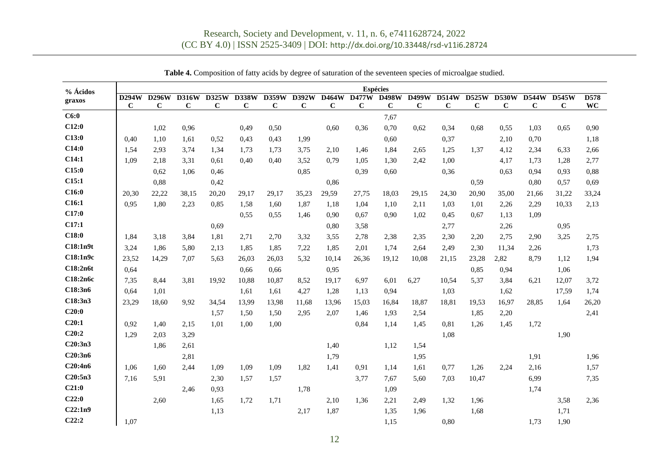| % Ácidos          | Espécies    |              |              |              |              |             |                    |             |              |                     |             |              |                            |             |                            |              |           |
|-------------------|-------------|--------------|--------------|--------------|--------------|-------------|--------------------|-------------|--------------|---------------------|-------------|--------------|----------------------------|-------------|----------------------------|--------------|-----------|
| graxos            | D294W       | <b>D296W</b> | <b>D316W</b> | <b>D325W</b> | <b>D338W</b> | D359W       | $\overline{D}392W$ | D464W       | <b>D477W</b> | <b>D498W</b>        | D499W       | <b>D514W</b> | $\overline{\text{D}}$ 525W | D530W       | $\overline{\text{D}}$ 544W | <b>D545W</b> | D578      |
| C6:0              | $\mathbf C$ | $\mathbf C$  | $\mathbf C$  | $\mathbf C$  | $\mathbf C$  | $\mathbf C$ | $\mathbf C$        | $\mathbf C$ | C            | $\mathbf C$<br>7,67 | $\mathbf C$ | $\mathbf C$  | C                          | $\mathbf C$ | $\mathbf C$                | $\mathbf C$  | <b>WC</b> |
| C12:0             |             | 1,02         | 0,96         |              | 0,49         | 0,50        |                    | 0,60        | 0,36         | 0,70                | 0,62        | 0,34         | 0.68                       | 0,55        | 1,03                       | 0.65         | 0,90      |
| C13:0             | 0.40        | 1.10         | 1.61         | 0.52         | 0.43         | 0.43        | 1,99               |             |              | 0,60                |             | 0,37         |                            | 2,10        | 0,70                       |              | 1,18      |
| C14:0             | 1.54        | 2,93         | 3.74         | 1.34         | 1.73         | 1.73        | 3,75               | 2,10        | 1,46         | 1,84                | 2,65        | 1,25         | 1.37                       | 4,12        | 2,34                       | 6,33         | 2,66      |
| C14:1             | 1.09        | 2,18         | 3,31         | 0.61         | 0.40         | 0.40        | 3,52               | 0,79        | 1,05         | 1,30                | 2,42        | 1,00         |                            | 4,17        | 1,73                       | 1,28         | 2,77      |
| C15:0             |             | 0.62         | 1.06         | 0,46         |              |             | 0,85               |             | 0,39         | 0,60                |             | 0,36         |                            | 0.63        | 0,94                       | 0,93         | 0,88      |
| C15:1             |             | 0.88         |              | 0,42         |              |             |                    | 0,86        |              |                     |             |              | 0,59                       |             | 0,80                       | 0.57         | 0,69      |
| C16:0             | 20,30       | 22,22        | 38,15        | 20,20        | 29,17        | 29,17       | 35,23              | 29,59       | 27,75        | 18,03               | 29,15       | 24,30        | 20,90                      | 35,00       | 21,66                      | 31,22        | 33,24     |
| C <sub>16:1</sub> | 0.95        | 1.80         | 2,23         | 0,85         | 1,58         | 1,60        | 1,87               | 1,18        | 1,04         | 1.10                | 2,11        | 1,03         | 1,01                       | 2,26        | 2,29                       | 10.33        | 2,13      |
| C17:0             |             |              |              |              | 0.55         | 0.55        | 1,46               | 0,90        | 0,67         | 0.90                | 1,02        | 0,45         | 0.67                       | 1,13        | 1,09                       |              |           |
| C17:1             |             |              |              | 0.69         |              |             |                    | 0,80        | 3,58         |                     |             | 2,77         |                            | 2,26        |                            | 0.95         |           |
| C18:0             | 1,84        | 3,18         | 3,84         | 1,81         | 2,71         | 2,70        | 3,32               | 3,55        | 2,78         | 2,38                | 2,35        | 2,30         | 2,20                       | 2,75        | 2,90                       | 3,25         | 2,75      |
| C18:1n9t          | 3,24        | 1,86         | 5,80         | 2,13         | 1,85         | 1,85        | 7,22               | 1,85        | 2,01         | 1,74                | 2,64        | 2,49         | 2,30                       | 11,34       | 2,26                       |              | 1,73      |
| C18:1n9c          | 23,52       | 14,29        | 7,07         | 5,63         | 26,03        | 26,03       | 5,32               | 10,14       | 26,36        | 19,12               | 10,08       | 21,15        | 23,28                      | 2,82        | 8,79                       | 1,12         | 1,94      |
| C18:2n6t          | 0.64        |              |              |              | 0.66         | 0.66        |                    | 0,95        |              |                     |             |              | 0.85                       | 0,94        |                            | 1,06         |           |
| C18:2n6c          | 7,35        | 8,44         | 3,81         | 19.92        | 10,88        | 10,87       | 8,52               | 19,17       | 6,97         | 6,01                | 6,27        | 10,54        | 5,37                       | 3,84        | 6,21                       | 12,07        | 3,72      |
| C18:3n6           | 0.64        | 1,01         |              |              | 1,61         | 1,61        | 4,27               | 1,28        | 1,13         | 0,94                |             | 1,03         |                            | 1,62        |                            | 17,59        | 1,74      |
| C18:3n3           | 23,29       | 18,60        | 9,92         | 34,54        | 13,99        | 13,98       | 11,68              | 13,96       | 15,03        | 16,84               | 18,87       | 18,81        | 19.53                      | 16,97       | 28,85                      | 1,64         | 26,20     |
| C20:0             |             |              |              | 1,57         | 1,50         | 1,50        | 2,95               | 2,07        | 1,46         | 1,93                | 2,54        |              | 1,85                       | 2,20        |                            |              | 2,41      |
| C20:1             | 0.92        | 1.40         | 2,15         | 1.01         | 1.00         | 1.00        |                    |             | 0,84         | 1.14                | 1.45        | 0.81         | 1.26                       | 1.45        | 1.72                       |              |           |
| C20:2             | 1,29        | 2,03         | 3,29         |              |              |             |                    |             |              |                     |             | 1,08         |                            |             |                            | 1,90         |           |
| C20:3n3           |             | 1.86         | 2,61         |              |              |             |                    | 1,40        |              | 1.12                | 1,54        |              |                            |             |                            |              |           |
| C20:3n6           |             |              | 2,81         |              |              |             |                    | 1,79        |              |                     | 1,95        |              |                            |             | 1,91                       |              | 1,96      |
| C20:4n6           | 1,06        | 1.60         | 2.44         | 1.09         | 1.09         | 1,09        | 1,82               | 1,41        | 0.91         | 1,14                | 1,61        | 0,77         | 1,26                       | 2,24        | 2,16                       |              | 1,57      |
| C20:5n3           | 7,16        | 5,91         |              | 2,30         | 1,57         | 1,57        |                    |             | 3,77         | 7,67                | 5,60        | 7,03         | 10,47                      |             | 6,99                       |              | 7,35      |
| C21:0             |             |              | 2,46         | 0.93         |              |             | 1,78               |             |              | 1,09                |             |              |                            |             | 1.74                       |              |           |
| C22:0             |             | 2,60         |              | 1,65         | 1.72         | 1,71        |                    | 2,10        | 1,36         | 2,21                | 2,49        | 1.32         | 1,96                       |             |                            | 3,58         | 2,36      |
| C22:1n9           |             |              |              | 1,13         |              |             | 2,17               | 1,87        |              | 1,35                | 1.96        |              | 1,68                       |             |                            | 1,71         |           |
| C22:2             | 1.07        |              |              |              |              |             |                    |             |              | 1,15                |             | 0,80         |                            |             | 1,73                       | 1,90         |           |

**Table 4.** Composition of fatty acids by degree of saturation of the seventeen species of microalgae studied.

12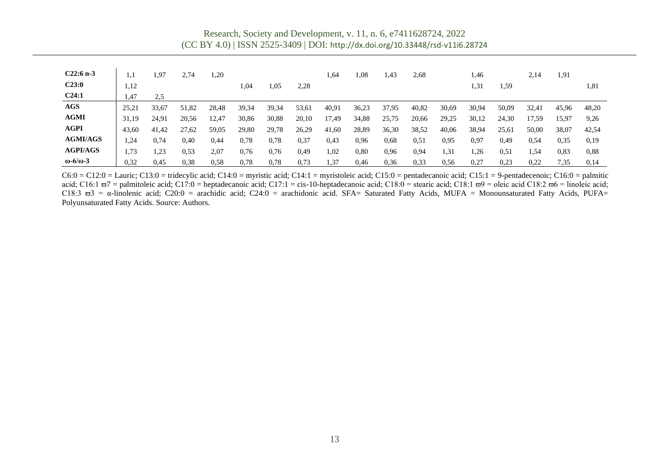Research, Society and Development, v. 11, n. 6, e7411628724, 2022 (CC BY 4.0) | ISSN 2525-3409 | DOI: <http://dx.doi.org/10.33448/rsd-v11i6.28724>

| $C22:6 n-3$              | 1.1   | 1,97  | 2,74  | 1,20  |       |       |       | 1,64  | 0,1   | 1.43  | 2,68  |       | 1,46  |       | 2,14  | 1,91  |       |
|--------------------------|-------|-------|-------|-------|-------|-------|-------|-------|-------|-------|-------|-------|-------|-------|-------|-------|-------|
| C23:0                    | 1,12  |       |       |       | 1,04  | 1,05  | 2,28  |       |       |       |       |       | 1,31  | 1,59  |       |       | 1,81  |
| C24:1                    | 1,47  | 2.5   |       |       |       |       |       |       |       |       |       |       |       |       |       |       |       |
| <b>AGS</b>               | 25,21 | 33,67 | 51,82 | 28,48 | 39,34 | 39,34 | 53,61 | 40,91 | 36,23 | 37,95 | 40,82 | 30,69 | 30,94 | 50,09 | 32,41 | 45,96 | 48,20 |
| <b>AGMI</b>              | 31.19 | 24.91 | 20.56 | 12,47 | 30,86 | 30,88 | 20,10 | 17,49 | 34,88 | 25,75 | 20,66 | 29,25 | 30,12 | 24,30 | 17.59 | 15,97 | 9,26  |
| <b>AGPI</b>              | 43,60 | 41,42 | 27,62 | 59,05 | 29,80 | 29,78 | 26,29 | 41,60 | 28,89 | 36,30 | 38,52 | 40,06 | 38,94 | 25,61 | 50,00 | 38,07 | 42,54 |
| <b>AGMI/AGS</b>          | 1,24  | 0.74  | 0.40  | 0,44  | 0.78  | 0.78  | 0,37  | 0.43  | 0,96  | 0.68  | 0,51  | 0,95  | 0.97  | 0.49  | 0.54  | 0.35  | 0,19  |
| <b>AGPI/AGS</b>          | 1,73  | 1,23  | 0.53  | 2,07  | 0.76  | 0,76  | 0.49  | 1,02  | 0.80  | 0,96  | 0,94  | 1,31  | .26   | 0.51  | . 54  | 0.83  | 0,88  |
| $\omega$ -6/ $\omega$ -3 | 0,32  | 0,45  | 0.38  | 0.58  | 0,78  | 0.78  | 0.73  | .37   | 0,46  | 0.36  | 0.33  | 0.56  | 0,27  | 0,23  | 0,22  | 7.35  | 0,14  |

 $C6:0 = C12:0 =$  Lauric;  $C13:0 =$  tridecylic acid;  $C14:0 =$  myristic acid;  $C14:1 =$  myristoleic acid;  $C15:0 =$  pentadecanoic acid;  $C15:1 = 9$ -pentadecenoic;  $C16:0 =$  palmitic acid; C16:1  $\sigma$ 7 = palmitoleic acid; C17:0 = heptadecanoic acid; C17:1 = cis-10-heptadecanoic acid; C18:0 = stearic acid; C18:1  $\sigma$ 9 = oleic acid C18:2  $\sigma$ 6 = linoleic acid; C18:3 ϖ3 = α-linolenic acid; C20:0 = arachidic acid; C24:0 = arachidonic acid. SFA= Saturated Fatty Acids, MUFA = Monounsaturated Fatty Acids, PUFA= Polyunsaturated Fatty Acids. Source: Authors.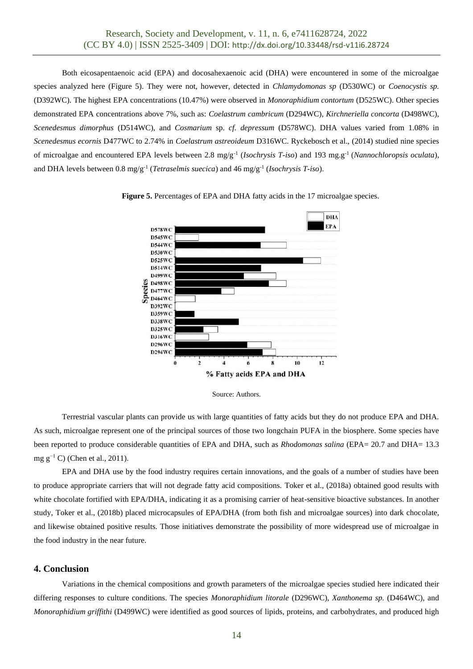Both eicosapentaenoic acid (EPA) and docosahexaenoic acid (DHA) were encountered in some of the microalgae species analyzed here (Figure 5). They were not, however, detected in *Chlamydomonas sp* (D530WC) or *Coenocystis sp.* (D392WC). The highest EPA concentrations (10.47%) were observed in *Monoraphidium contortum* (D525WC). Other species demonstrated EPA concentrations above 7%, such as: *Coelastrum cambricum* (D294WC), *Kirchneriella concorta* (D498WC), *Scenedesmus dimorphus* (D514WC), and *Cosmarium* sp. *cf. depressum* (D578WC). DHA values varied from 1.08% in *Scenedesmus ecornis* D477WC to 2.74% in *Coelastrum astreoideum* D316WC. Ryckebosch et al., (2014) studied nine species of microalgae and encountered EPA levels between 2.8 mg/g-1 (*Isochrysis T-iso*) and 193 mg.g-1 (*Nannochloropsis oculata*), and DHA levels between 0.8 mg/g-1 (*Tetraselmis suecica*) and 46 mg/g-1 (*Isochrysis T-iso*).

**Figure 5.** Percentages of EPA and DHA fatty acids in the 17 microalgae species.





Terrestrial vascular plants can provide us with large quantities of fatty acids but they do not produce EPA and DHA. As such, microalgae represent one of the principal sources of those two longchain PUFA in the biosphere. Some species have been reported to produce considerable quantities of EPA and DHA, such as *Rhodomonas salina* (EPA= 20.7 and DHA= 13.3 mg  $g^{-1}$  C) (Chen et al., 2011).

EPA and DHA use by the food industry requires certain innovations, and the goals of a number of studies have been to produce appropriate carriers that will not degrade fatty acid compositions. Toker et al., (2018a) obtained good results with white chocolate fortified with EPA/DHA, indicating it as a promising carrier of heat-sensitive bioactive substances. In another study, Toker et al., (2018b) placed microcapsules of EPA/DHA (from both fish and microalgae sources) into dark chocolate, and likewise obtained positive results. Those initiatives demonstrate the possibility of more widespread use of microalgae in the food industry in the near future.

## **4. Conclusion**

Variations in the chemical compositions and growth parameters of the microalgae species studied here indicated their differing responses to culture conditions. The species *Monoraphidium litorale* (D296WC), *Xanthonema sp.* (D464WC), and *Monoraphidium griffithi* (D499WC) were identified as good sources of lipids, proteins, and carbohydrates, and produced high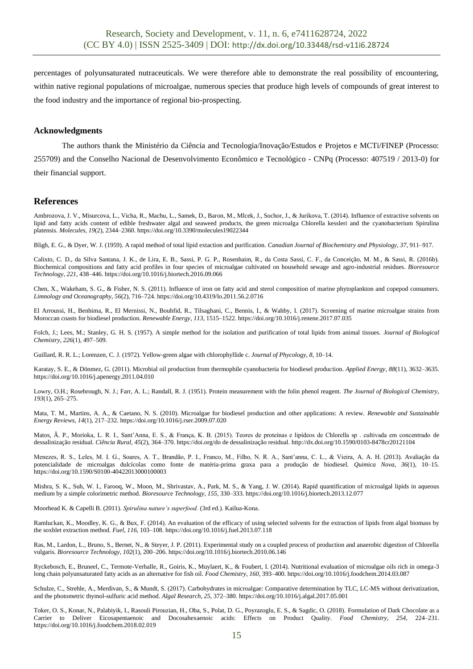percentages of polyunsaturated nutraceuticals. We were therefore able to demonstrate the real possibility of encountering, within native regional populations of microalgae, numerous species that produce high levels of compounds of great interest to the food industry and the importance of regional bio-prospecting.

## **Acknowledgments**

The authors thank the Ministério da Ciência and Tecnologia/Inovação/Estudos e Projetos e MCTi/FINEP (Processo: 255709) and the Conselho Nacional de Desenvolvimento Econômico e Tecnológico - CNPq (Processo: 407519 / 2013-0) for their financial support.

## **References**

Ambrozova, J. V., Misurcova, L., Vicha, R., Machu, L., Samek, D., Baron, M., Mlcek, J., Sochor, J., & Jurikova, T. (2014). Influence of extractive solvents on lipid and fatty acids content of edible freshwater algal and seaweed products, the green microalga Chlorella kessleri and the cyanobacterium Spirulina platensis. *Molecules*, *19*(2), 2344–2360. https://doi.org/10.3390/molecules19022344

Bligh, E. G., & Dyer, W. J. (1959). A rapid method of total lipid extaction and purification. *Canadian Journal of Biochemistry and Physiology*, *37*, 911–917.

Calixto, C. D., da Silva Santana, J. K., de Lira, E. B., Sassi, P. G. P., Rosenhaim, R., da Costa Sassi, C. F., da Conceição, M. M., & Sassi, R. (2016b). Biochemical compositions and fatty acid profiles in four species of microalgae cultivated on household sewage and agro-industrial residues. *Bioresource Technology*, *221*, 438–446. https://doi.org/10.1016/j.biortech.2016.09.066

Chen, X., Wakeham, S. G., & Fisher, N. S. (2011). Influence of iron on fatty acid and sterol composition of marine phytoplankton and copepod consumers. *Limnology and Oceanography*, *56*(2), 716–724. https://doi.org/10.4319/lo.2011.56.2.0716

El Arroussi, H., Benhima, R., El Mernissi, N., Bouhfid, R., Tilsaghani, C., Bennis, I., & Wahby, I. (2017). Screening of marine microalgae strains from Moroccan coasts for biodiesel production. *Renewable Energy*, *113*, 1515–1522. https://doi.org/10.1016/j.renene.2017.07.035

Folch, J.; Lees, M.; Stanley, G. H. S. (1957). A simple method for the isolation and purification of total lipids from animal tissues. *Journal of Biological Chemistry*, *226*(1), 497–509.

Guillard, R. R. L.; Lorenzen, C. J. (1972). Yellow-green algae with chlorophyllide c. *Journal of Phycology*, *8*, 10–14.

Karatay, S. E., & Dönmez, G. (2011). Microbial oil production from thermophile cyanobacteria for biodiesel production. *Applied Energy*, *88*(11), 3632–3635. https://doi.org/10.1016/j.apenergy.2011.04.010

Lowry, O.H.; Rosebrough, N. J.; Farr, A. L.; Randall, R. J. (1951). Protein measurement with the folin phenol reagent. *The Journal of Biological Chemistry*, *193*(1), 265–275.

Mata, T. M., Martins, A. A., & Caetano, N. S. (2010). Microalgae for biodiesel production and other applications: A review. *Renewable and Sustainable Energy Reviews*, *14*(1), 217–232. https://doi.org/10.1016/j.rser.2009.07.020

Matos, Â. P., Morioka, L. R. I., Sant'Anna, E. S., & França, K. B. (2015). Teores de proteínas e lipídeos de Chlorella sp . cultivada em concentrado de dessalinização residual. *Ciência Rural*, *45*(2), 364–370. https://doi.org/do de dessalinização residual. http://dx.doi.org/10.1590/0103-8478cr20121104

Menezes, R. S., Leles, M. I. G., Soares, A. T., Brandão, P. I., Franco, M., Filho, N. R. A., Sant'anna, C. L., & Vieira, A. A. H. (2013). Avaliação da potencialidade de microalgas dulcícolas como fonte de matéria-prima graxa para a produção de biodiesel. *Quimica Nova*, *36*(1), 10–15. https://doi.org/10.1590/S0100-40422013000100003

Mishra, S. K., Suh, W. I., Farooq, W., Moon, M., Shrivastav, A., Park, M. S., & Yang, J. W. (2014). Rapid quantification of microalgal lipids in aqueous medium by a simple colorimetric method. *Bioresource Technology*, *155*, 330–333. https://doi.org/10.1016/j.biortech.2013.12.077

Moorhead K. & Capelli B. (2011). *Spirulina nature's superfood.* (3rd ed.). Kailua-Kona.

Ramluckan, K., Moodley, K. G., & Bux, F. (2014). An evaluation of the efficacy of using selected solvents for the extraction of lipids from algal biomass by the soxhlet extraction method. *Fuel*, *116*, 103–108. https://doi.org/10.1016/j.fuel.2013.07.118

Ras, M., Lardon, L., Bruno, S., Bernet, N., & Steyer, J. P. (2011). Experimental study on a coupled process of production and anaerobic digestion of Chlorella vulgaris. *Bioresource Technology*, *102*(1), 200–206. https://doi.org/10.1016/j.biortech.2010.06.146

Ryckebosch, E., Bruneel, C., Termote-Verhalle, R., Goiris, K., Muylaert, K., & Foubert, I. (2014). Nutritional evaluation of microalgae oils rich in omega-3 long chain polyunsaturated fatty acids as an alternative for fish oil. *Food Chemistry*, *160*, 393–400. https://doi.org/10.1016/j.foodchem.2014.03.087

Schulze, C., Strehle, A., Merdivan, S., & Mundt, S. (2017). Carbohydrates in microalgae: Comparative determination by TLC, LC-MS without derivatization, and the photometric thymol-sulfuric acid method. *Algal Research*, *25*, 372–380. https://doi.org/10.1016/j.algal.2017.05.001

Toker, O. S., Konar, N., Palabiyik, I., Rasouli Pirouzian, H., Oba, S., Polat, D. G., Poyrazoglu, E. S., & Sagdic, O. (2018). Formulation of Dark Chocolate as a Carrier to Deliver Eicosapentaenoic and Docosahexaenoic acids: Effects on Product Quality. *Food Chemistry*, *254*, 224–231. https://doi.org/10.1016/j.foodchem.2018.02.019